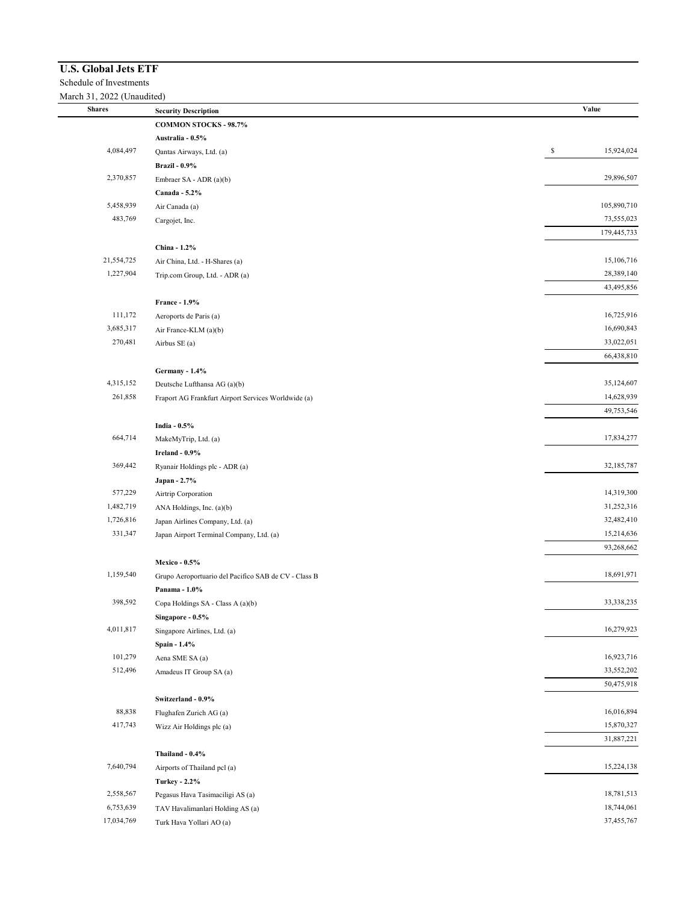## **U.S. Global Jets ETF**

Schedule of Investments

 $\frac{Ma}{\Box}$ 

| <b>Shares</b> | <b>Security Description</b>                                           | Value            |
|---------------|-----------------------------------------------------------------------|------------------|
|               | <b>COMMON STOCKS - 98.7%</b>                                          |                  |
|               | Australia - 0.5%                                                      |                  |
| 4,084,497     | Qantas Airways, Ltd. (a)                                              | \$<br>15,924,024 |
|               | <b>Brazil - 0.9%</b>                                                  |                  |
| 2,370,857     | Embraer SA - ADR (a)(b)                                               | 29,896,507       |
|               | Canada - 5.2%                                                         |                  |
| 5,458,939     | Air Canada (a)                                                        | 105,890,710      |
| 483,769       | Cargojet, Inc.                                                        | 73,555,023       |
|               |                                                                       | 179,445,733      |
|               | China - 1.2%                                                          |                  |
| 21,554,725    | Air China, Ltd. - H-Shares (a)                                        | 15,106,716       |
| 1,227,904     | Trip.com Group, Ltd. - ADR (a)                                        | 28,389,140       |
|               |                                                                       | 43,495,856       |
|               | <b>France - 1.9%</b>                                                  |                  |
| 111,172       | Aeroports de Paris (a)                                                | 16,725,916       |
| 3,685,317     | Air France-KLM (a)(b)                                                 | 16,690,843       |
| 270,481       | Airbus SE (a)                                                         | 33,022,051       |
|               |                                                                       | 66,438,810       |
|               | Germany - 1.4%                                                        |                  |
| 4,315,152     | Deutsche Lufthansa AG (a)(b)                                          | 35,124,607       |
| 261,858       | Fraport AG Frankfurt Airport Services Worldwide (a)                   | 14,628,939       |
|               |                                                                       | 49,753,546       |
|               | India - 0.5%                                                          |                  |
| 664,714       | MakeMyTrip, Ltd. (a)                                                  | 17,834,277       |
|               | Ireland - 0.9%                                                        |                  |
| 369,442       | Ryanair Holdings plc - ADR (a)                                        | 32,185,787       |
|               | Japan - 2.7%                                                          |                  |
| 577,229       | Airtrip Corporation                                                   | 14,319,300       |
| 1,482,719     | ANA Holdings, Inc. (a)(b)                                             | 31,252,316       |
| 1,726,816     | Japan Airlines Company, Ltd. (a)                                      | 32,482,410       |
| 331,347       | Japan Airport Terminal Company, Ltd. (a)                              | 15,214,636       |
|               |                                                                       | 93,268,662       |
|               | <b>Mexico - 0.5%</b>                                                  |                  |
| 1,159,540     | Grupo Aeroportuario del Pacifico SAB de CV - Class B                  | 18,691,971       |
|               | Panama - 1.0%                                                         |                  |
| 398,592       | Copa Holdings $\operatorname{SA}$ - $\operatorname{Class}$ A $(a)(b)$ | 33,338,235       |
|               | Singapore - 0.5%                                                      |                  |
| 4,011,817     | Singapore Airlines, Ltd. (a)                                          | 16,279,923       |
|               | Spain - 1.4%                                                          |                  |
| 101,279       | Aena SME SA (a)                                                       | 16,923,716       |
| 512,496       | Amadeus IT Group SA (a)                                               | 33,552,202       |
|               |                                                                       | 50,475,918       |
|               | Switzerland - 0.9%                                                    |                  |
| 88,838        | Flughafen Zurich AG (a)                                               | 16,016,894       |
| 417,743       | Wizz Air Holdings plc (a)                                             | 15,870,327       |
|               |                                                                       | 31,887,221       |
|               | Thailand - 0.4%                                                       |                  |
| 7,640,794     | Airports of Thailand pcl (a)                                          | 15,224,138       |
|               | <b>Turkey - 2.2%</b>                                                  |                  |
| 2,558,567     | Pegasus Hava Tasimaciligi AS (a)                                      | 18,781,513       |
| 6,753,639     | TAV Havalimanlari Holding AS (a)                                      | 18,744,061       |
| 17,034,769    | Turk Hava Yollari AO (a)                                              | 37,455,767       |
|               |                                                                       |                  |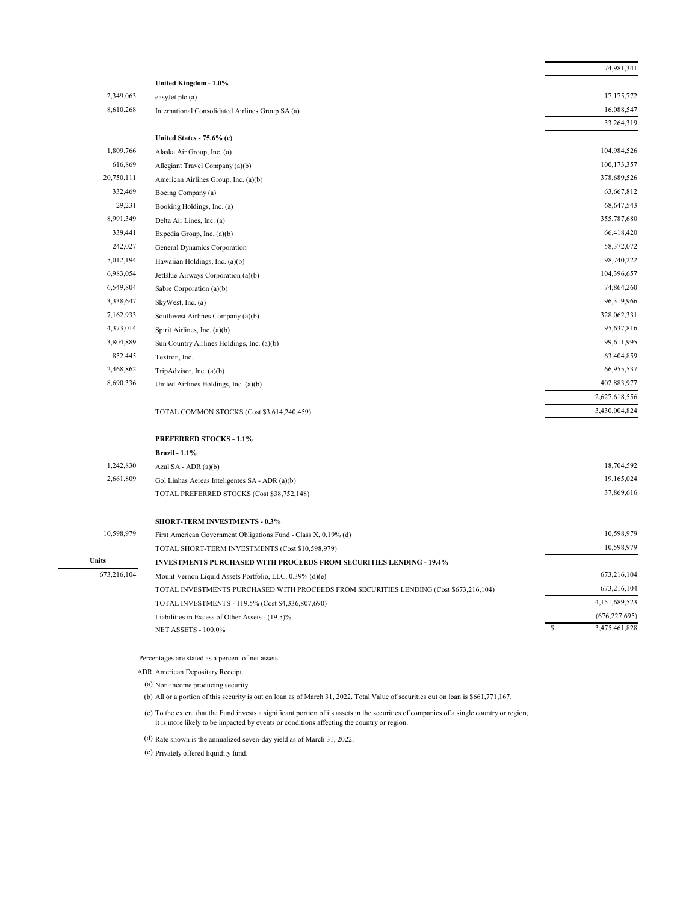|             |                                                                                        | 74,981,341         |  |  |
|-------------|----------------------------------------------------------------------------------------|--------------------|--|--|
|             | United Kingdom - 1.0%                                                                  |                    |  |  |
| 2,349,063   | easyJet plc (a)                                                                        | 17,175,772         |  |  |
| 8,610,268   | International Consolidated Airlines Group SA (a)                                       | 16,088,547         |  |  |
|             |                                                                                        | 33,264,319         |  |  |
|             | United States - 75.6% (c)                                                              |                    |  |  |
| 1,809,766   | Alaska Air Group, Inc. (a)                                                             | 104,984,526        |  |  |
| 616,869     | Allegiant Travel Company (a)(b)                                                        | 100,173,357        |  |  |
| 20,750,111  | American Airlines Group, Inc. (a)(b)                                                   | 378,689,526        |  |  |
| 332,469     | Boeing Company (a)                                                                     | 63,667,812         |  |  |
| 29,231      | Booking Holdings, Inc. (a)                                                             | 68,647,543         |  |  |
| 8,991,349   | Delta Air Lines, Inc. (a)                                                              | 355,787,680        |  |  |
| 339,441     | Expedia Group, Inc. (a)(b)                                                             | 66,418,420         |  |  |
| 242,027     | General Dynamics Corporation                                                           | 58,372,072         |  |  |
| 5,012,194   | Hawaiian Holdings, Inc. (a)(b)                                                         | 98,740,222         |  |  |
| 6,983,054   | JetBlue Airways Corporation (a)(b)                                                     | 104,396,657        |  |  |
| 6,549,804   | Sabre Corporation (a)(b)                                                               | 74,864,260         |  |  |
| 3,338,647   | SkyWest, Inc. (a)                                                                      | 96,319,966         |  |  |
| 7,162,933   | Southwest Airlines Company (a)(b)                                                      | 328,062,331        |  |  |
| 4,373,014   | Spirit Airlines, Inc. (a)(b)                                                           | 95,637,816         |  |  |
| 3,804,889   | Sun Country Airlines Holdings, Inc. (a)(b)                                             | 99,611,995         |  |  |
| 852,445     | Textron, Inc.                                                                          | 63,404,859         |  |  |
| 2,468,862   | TripAdvisor, Inc. (a)(b)                                                               | 66,955,537         |  |  |
| 8,690,336   | United Airlines Holdings, Inc. (a)(b)                                                  | 402,883,977        |  |  |
|             |                                                                                        | 2,627,618,556      |  |  |
|             | TOTAL COMMON STOCKS (Cost \$3,614,240,459)                                             | 3,430,004,824      |  |  |
|             | <b>PREFERRED STOCKS - 1.1%</b>                                                         |                    |  |  |
|             | <b>Brazil - 1.1%</b>                                                                   |                    |  |  |
| 1,242,830   | Azul SA - ADR (a)(b)                                                                   | 18,704,592         |  |  |
| 2,661,809   | Gol Linhas Aereas Inteligentes SA - ADR (a)(b)                                         | 19,165,024         |  |  |
|             | TOTAL PREFERRED STOCKS (Cost \$38,752,148)                                             | 37,869,616         |  |  |
|             | <b>SHORT-TERM INVESTMENTS - 0.3%</b>                                                   |                    |  |  |
| 10,598,979  | First American Government Obligations Fund - Class X, 0.19% (d)                        | 10,598,979         |  |  |
|             | TOTAL SHORT-TERM INVESTMENTS (Cost \$10,598,979)                                       | 10,598,979         |  |  |
| Units       | <b>INVESTMENTS PURCHASED WITH PROCEEDS FROM SECURITIES LENDING - 19.4%</b>             |                    |  |  |
| 673,216,104 | Mount Vernon Liquid Assets Portfolio, LLC, 0.39% (d)(e)                                | 673,216,104        |  |  |
|             | TOTAL INVESTMENTS PURCHASED WITH PROCEEDS FROM SECURITIES LENDING (Cost \$673,216,104) | 673,216,104        |  |  |
|             | TOTAL INVESTMENTS - 119.5% (Cost \$4,336,807,690)                                      | 4,151,689,523      |  |  |
|             | Liabilities in Excess of Other Assets - (19.5)%                                        | (676, 227, 695)    |  |  |
|             | <b>NET ASSETS - 100.0%</b>                                                             | S<br>3,475,461,828 |  |  |

ADR American Depositary Receipt.

(a) Non-income producing security.

(b) All or a portion of this security is out on loan as of March 31, 2022. Total Value of securities out on loan is \$661,771,167.

(c) To the extent that the Fund invests a significant portion of its assets in the securities of companies of a single country or region, it is more likely to be impacted by events or conditions affecting the country or region.

(d) Rate shown is the annualized seven-day yield as of March 31, 2022.

(e) Privately offered liquidity fund.